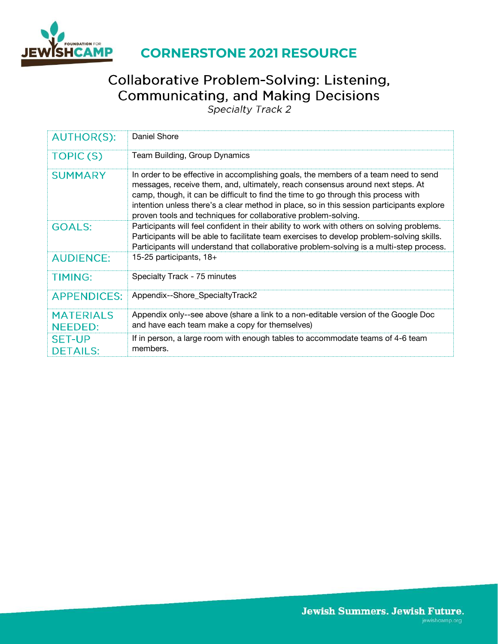

# **CORNERSTONE 2021 RESOURCE**

# Collaborative Problem-Solving: Listening, **Communicating, and Making Decisions**

Specialty Track 2

| <b>AUTHOR(S):</b>                  | Daniel Shore                                                                                                                                                                                                                                                                                                                                                                                                               |
|------------------------------------|----------------------------------------------------------------------------------------------------------------------------------------------------------------------------------------------------------------------------------------------------------------------------------------------------------------------------------------------------------------------------------------------------------------------------|
| TOPIC(S)                           | Team Building, Group Dynamics                                                                                                                                                                                                                                                                                                                                                                                              |
| <b>SUMMARY</b>                     | In order to be effective in accomplishing goals, the members of a team need to send<br>messages, receive them, and, ultimately, reach consensus around next steps. At<br>camp, though, it can be difficult to find the time to go through this process with<br>intention unless there's a clear method in place, so in this session participants explore<br>proven tools and techniques for collaborative problem-solving. |
| <b>GOALS:</b>                      | Participants will feel confident in their ability to work with others on solving problems.<br>Participants will be able to facilitate team exercises to develop problem-solving skills.<br>Participants will understand that collaborative problem-solving is a multi-step process.                                                                                                                                        |
| <b>AUDIENCE:</b>                   | 15-25 participants, 18+                                                                                                                                                                                                                                                                                                                                                                                                    |
| <b>TIMING:</b>                     | Specialty Track - 75 minutes                                                                                                                                                                                                                                                                                                                                                                                               |
| <b>APPENDICES:</b>                 | Appendix--Shore_SpecialtyTrack2                                                                                                                                                                                                                                                                                                                                                                                            |
| <b>MATERIALS</b><br><b>NEEDED:</b> | Appendix only--see above (share a link to a non-editable version of the Google Doc<br>and have each team make a copy for themselves)                                                                                                                                                                                                                                                                                       |
| <b>SET-UP</b><br><b>DETAILS:</b>   | If in person, a large room with enough tables to accommodate teams of 4-6 team<br>members.                                                                                                                                                                                                                                                                                                                                 |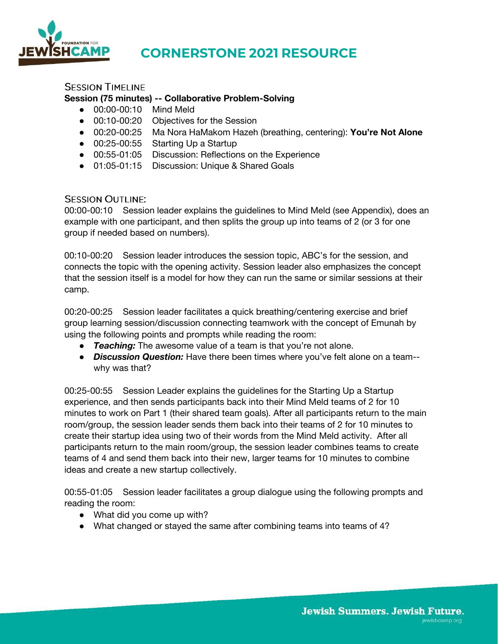

### **CORNERSTONE 2021 RESOURCE**

### **SESSION TIMELINE**

### **Session (75 minutes) -- Collaborative Problem-Solving**

- 00:00-00:10 Mind Meld
- 00:10-00:20 Objectives for the Session
- 00:20-00:25 Ma Nora HaMakom Hazeh (breathing, centering): **You're Not Alone**
- 00:25-00:55 Starting Up a Startup
- 00:55-01:05 Discussion: Reflections on the Experience
- 01:05-01:15 Discussion: Unique & Shared Goals

### **SESSION OUTLINE:**

00:00-00:10 Session leader explains the guidelines to Mind Meld (see Appendix), does an example with one participant, and then splits the group up into teams of 2 (or 3 for one group if needed based on numbers).

00:10-00:20 Session leader introduces the session topic, ABC's for the session, and connects the topic with the opening activity. Session leader also emphasizes the concept that the session itself is a model for how they can run the same or similar sessions at their camp.

00:20-00:25 Session leader facilitates a quick breathing/centering exercise and brief group learning session/discussion connecting teamwork with the concept of Emunah by using the following points and prompts while reading the room:

- *Teaching:* The awesome value of a team is that you're not alone.
- *Discussion Question:* Have there been times where you've felt alone on a team- why was that?

00:25-00:55 Session Leader explains the guidelines for the Starting Up a Startup experience, and then sends participants back into their Mind Meld teams of 2 for 10 minutes to work on Part 1 (their shared team goals). After all participants return to the main room/group, the session leader sends them back into their teams of 2 for 10 minutes to create their startup idea using two of their words from the Mind Meld activity. After all participants return to the main room/group, the session leader combines teams to create teams of 4 and send them back into their new, larger teams for 10 minutes to combine ideas and create a new startup collectively.

00:55-01:05 Session leader facilitates a group dialogue using the following prompts and reading the room:

- What did you come up with?
- What changed or stayed the same after combining teams into teams of 4?